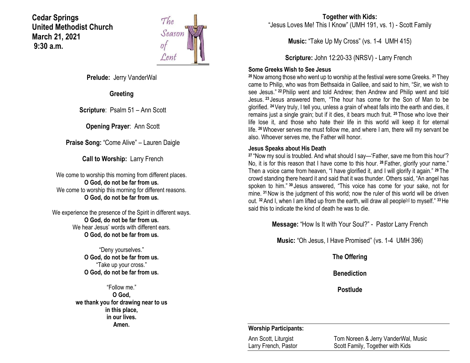**Cedar Springs United Methodist Church March 21, 2021 9:30 a.m.**



**Prelude:** Jerry VanderWal

**Greeting**

**Scripture**: Psalm 51 – Ann Scott

**Opening Prayer**: Ann Scott

**Praise Song:** "Come Alive" – Lauren Daigle

**Call to Worship:** Larry French

We come to worship this morning from different places. **O God, do not be far from us.** We come to worship this morning for different reasons. **O God, do not be far from us.**

We experience the presence of the Spirit in different ways. **O God, do not be far from us.** We hear Jesus' words with different ears. **O God, do not be far from us.**

> "Deny yourselves." **O God, do not be far from us.** "Take up your cross." **O God, do not be far from us.**

"Follow me." **O God, we thank you for drawing near to us in this place, in our lives. Amen.**

**Together with Kids:** "Jesus Loves Me! This I Know" (UMH 191, vs. 1) - Scott Family

**Music:** "Take Up My Cross" (vs. 1-4 UMH 415)

**Scripture:** John 12:20-33 (NRSV) - Larry French

### **Some Greeks Wish to See Jesus**

**<sup>20</sup>**Now among those who went up to worship at the festival were some Greeks. **<sup>21</sup>** They came to Philip, who was from Bethsaida in Galilee, and said to him, "Sir, we wish to see Jesus." **<sup>22</sup>**Philip went and told Andrew; then Andrew and Philip went and told Jesus. **<sup>23</sup>** Jesus answered them, "The hour has come for the Son of Man to be glorified. **<sup>24</sup>**Very truly, I tell you, unless a grain of wheat falls into the earth and dies, it remains just a single grain; but if it dies, it bears much fruit. **<sup>25</sup>** Those who love their life lose it, and those who hate their life in this world will keep it for eternal life. **<sup>26</sup>**Whoever serves me must follow me, and where I am, there will my servant be also. Whoever serves me, the Father will honor.

### **Jesus Speaks about His Death**

**<sup>27</sup>** "Now my soul is troubled. And what should I say—'Father, save me from this hour'? No, it is for this reason that I have come to this hour. **<sup>28</sup>** Father, glorify your name." Then a voice came from heaven, "I have glorified it, and I will glorify it again." **<sup>29</sup>** The crowd standing there heard it and said that it was thunder. Others said, "An angel has spoken to him." **<sup>30</sup>** Jesus answered, "This voice has come for your sake, not for mine. **<sup>31</sup>**Now is the judgment of this world; now the ruler of this world will be driven out. <sup>32</sup> And I, when I am lifted up from the earth, will draw all people<sup>[\[a\]](https://www.biblegateway.com/passage/?search=John+12%3A20-33&version=NRSV#fen-NRSV-26602a)</sup> to myself." <sup>33</sup> He said this to indicate the kind of death he was to die.

**Message:** "How Is It with Your Soul?" - Pastor Larry French

**Music:** "Oh Jesus, I Have Promised" (vs. 1-4 UMH 396)

**The Offering**

**Benediction**

**Postlude**

### **Worship Participants:**

Ann Scott, Liturgist Tom Noreen & Jerry VanderWal, Music<br>
Larry French, Pastor Scott Family, Together with Kids Scott Family, Together with Kids